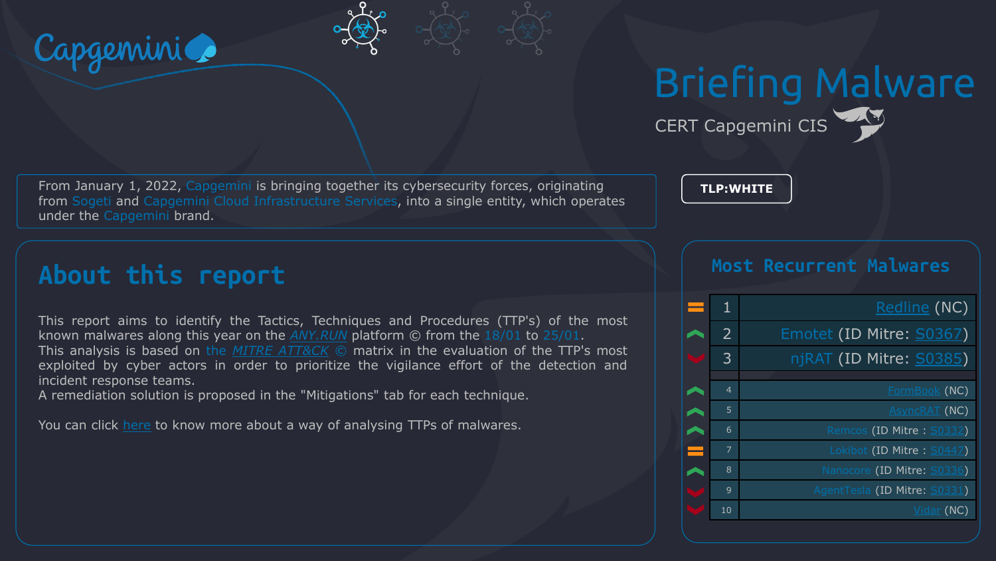

# Briefing Malware CERT Capgemini CIS

From January 1, 2022, Capgemini is bringing together its cybersecurity forces, originating from Sogeti and Capgemini Cloud Infrastructure Services, into a single entity, which operates under the Capgemini brand.

**TLP:WHITE**

# **About this report**

This report aims to identify the Tactics, Techniques and Procedures (TTP's) of the most known malwares along this year on the *[ANY.RUN](https://any.run/malware-trends/)* platform © from the 18/01 to 25/01. This analysis is based on the *MITRE [ATT&CK](https://attack.mitre.org/matrices/enterprise/)* © matrix in the evaluation of the TTP's most exploited by cyber actors in order to prioritize the vigilance effort of the detection and incident response teams.

A remediation solution is proposed in the "Mitigations" tab for each technique.

You can click [here](https://www.tripwire.com/state-of-security/mitre-framework/mitre-attck-update-sub-techniques-july-2020/) to know more about a way of analysing TTPs of malwares.

#### **Most Recurrent Malwares**

| 1              | Redline (NC)                 |
|----------------|------------------------------|
| $\overline{2}$ | Emotet (ID Mitre: S0367)     |
| 3              | njRAT (ID Mitre: S0385)      |
|                |                              |
| $\overline{4}$ | FormBook (NC)                |
| 5              | <b>AsyncRAT</b> (NC)         |
| 6              | Remcos (ID Mitre: S0332)     |
| $\overline{7}$ | Lokibot (ID Mitre: S0447)    |
| 8              | Nanocore (ID Mitre: S0336)   |
| 9              | AgentTesla (ID Mitre: S0331) |
| 10             | Vidar (NC)                   |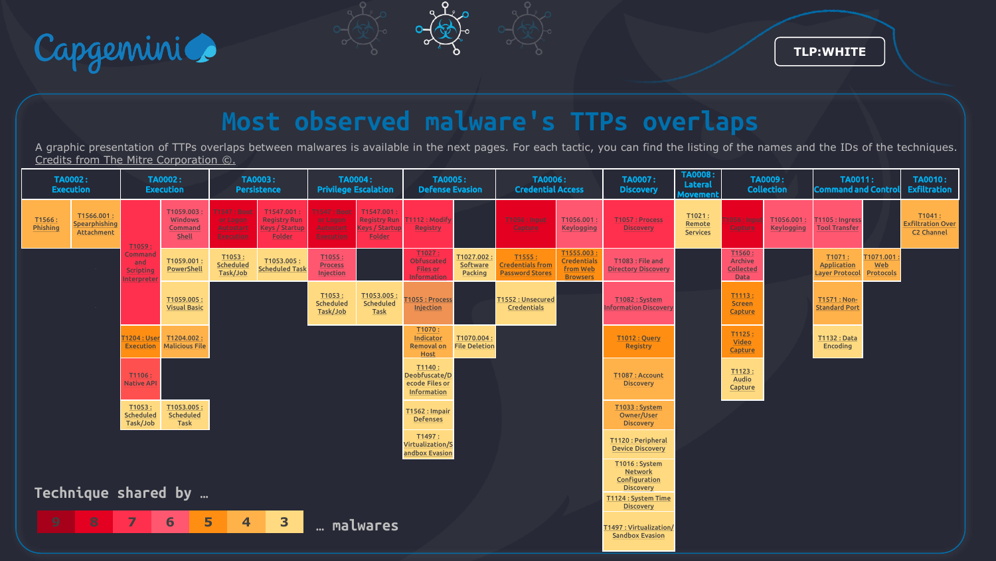

# **Most observed malware's TTPs overlaps**

A graphic presentation of TTPs overlaps between malwares is available in the next pages. For each tactic, you can find the listing of the names and the IDs of the techniques. Credits from The Mitre Corporation ©.

| <b>TA0002:</b><br><b>Execution</b>                                                                     |                                          | <b>TA0002:</b><br><b>Execution</b>               |                                                 | <b>TA0003:</b><br><b>Persistence</b>              |                                                                     | <b>TA0004:</b><br><b>Privilege Escalation</b>                   |                                                              | <b>TA0005:</b><br><b>Defense Evasion</b>                    |                                                                                                                 | <b>TA0006:</b><br><b>Credential Access</b>                  |                                                                | <b>TA0007:</b><br><b>Discovery</b>              | <b>TA0008:</b><br><b>Lateral</b><br>Movemen | <b>TA0009:</b><br><b>Collection</b>          |                         | <b>TA0011:</b><br><b>Command and Control</b> |                               | <b>TA0010:</b><br><b>Exfiltration</b>            |
|--------------------------------------------------------------------------------------------------------|------------------------------------------|--------------------------------------------------|-------------------------------------------------|---------------------------------------------------|---------------------------------------------------------------------|-----------------------------------------------------------------|--------------------------------------------------------------|-------------------------------------------------------------|-----------------------------------------------------------------------------------------------------------------|-------------------------------------------------------------|----------------------------------------------------------------|-------------------------------------------------|---------------------------------------------|----------------------------------------------|-------------------------|----------------------------------------------|-------------------------------|--------------------------------------------------|
| T1566:<br>Phishing                                                                                     | T1566.001<br>Spearphishing<br>Attachment | T1059                                            | T1059.003<br>Windows<br>Command<br><b>Shell</b> | 1547 : Boot<br>or Logon<br>Autostart<br>Execution | T1547.001<br><b>Registry Run</b><br><b>Keys / Startup</b><br>Folder | <b>F1547: Boot</b><br>or Logon<br>Autostart<br><b>Execution</b> | T1547.001<br><b>Registry Run</b><br>(eys / Startup<br>Folder | T1112: Modify<br>Registry                                   |                                                                                                                 | T1056 : Input<br>Capture                                    | T1056.001<br><b>Keylogging</b>                                 | T1057 : Process<br><b>Discovery</b>             | T1021:<br>Remote<br><b>Services</b>         | $1056:$ Inpul<br>Capture                     | T1056.001<br>Keylogging | T1105 : Ingress<br><b>Tool Transfer</b>      |                               | T1041:<br><b>Exfiltration Over</b><br>C2 Channel |
|                                                                                                        |                                          | Command<br>and<br><b>Scripting</b><br>nterpreter | T1059.001<br>PowerShell                         | T1053:<br><b>Scheduled</b><br>Task/Job            | T1053.005:<br><b>Scheduled Task</b>                                 | T1055<br><b>Process</b><br>Injection                            |                                                              | T1027<br>Obfuscated<br><b>Files or</b><br><b>nformation</b> | T1027.002<br>Software<br>Packing                                                                                | T1555:<br><b>Credentials from</b><br><b>Password Stores</b> | T1555.003<br><b>Credentials</b><br>from Web<br><b>Browsers</b> | T1083 : File and<br><b>Directory Discovery</b>  |                                             | T1560<br>Archive<br><b>Collected</b><br>Data |                         | T1071:<br>Application<br>Layer Protocol      | T1071.001<br>Web<br>Protocols |                                                  |
|                                                                                                        |                                          |                                                  | T1059.005:<br><b>Visual Basic</b>               |                                                   |                                                                     | T1053:<br><b>Scheduled</b><br>Task/Job                          | T1053.005<br><b>Scheduled</b><br><b>Task</b>                 | 1055: Process<br>Injection                                  |                                                                                                                 | T1552: Unsecured<br>Credentials                             |                                                                | T1082: System<br><b>nformation Discover</b>     |                                             | T1113<br><b>Screen</b><br>Capture            |                         | T1571: Non-<br><b>Standard Port</b>          |                               |                                                  |
|                                                                                                        |                                          | [1204 : User<br><b>Execution</b>                 | T1204.002<br><b>Malicious File</b>              |                                                   |                                                                     |                                                                 |                                                              | T1070:<br>Indicator<br>Removal on<br>Host                   | T1070.004<br><b>File Deletion</b>                                                                               |                                                             |                                                                | <b>T1012: Query</b><br>Registry                 |                                             | T1125<br><b>Video</b><br>Capture             |                         | <b>T1132: Data</b><br>Encoding               |                               |                                                  |
|                                                                                                        |                                          | T1106<br><b>Native API</b>                       |                                                 |                                                   |                                                                     |                                                                 |                                                              | T1140:<br>Deobfuscate/D<br>ecode Files or<br>Information    |                                                                                                                 |                                                             |                                                                | T1087: Account<br><b>Discovery</b>              |                                             | T1123<br>Audio<br>Capture                    |                         |                                              |                               |                                                  |
|                                                                                                        |                                          | T1053:<br><b>Scheduled</b><br>Task/Job           | T1053.005<br><b>Scheduled</b><br>Task           |                                                   |                                                                     |                                                                 |                                                              | T1562 : Impair<br><b>Defenses</b>                           |                                                                                                                 |                                                             |                                                                | T1033: System<br>Owner/User<br><b>Discovery</b> |                                             |                                              |                         |                                              |                               |                                                  |
|                                                                                                        |                                          |                                                  |                                                 |                                                   |                                                                     |                                                                 |                                                              | T1497:<br>Virtualization/S<br>andbox Evasion                |                                                                                                                 |                                                             |                                                                | T1120 : Peripheral<br><b>Device Discovery</b>   |                                             |                                              |                         |                                              |                               |                                                  |
| Technique shared by                                                                                    |                                          |                                                  |                                                 |                                                   |                                                                     |                                                                 |                                                              |                                                             | T1016 : System<br><b>Network</b><br>Configuration<br><b>Discovery</b><br>T1124: System Time<br><b>Discovery</b> |                                                             |                                                                |                                                 |                                             |                                              |                         |                                              |                               |                                                  |
| 8<br>$\overline{\mathbf{z}}$<br>5<br>3<br>6<br>$\boldsymbol{9}$<br>$\overline{\mathbf{4}}$<br>malwares |                                          |                                                  |                                                 |                                                   |                                                                     |                                                                 |                                                              | T1497 : Virtualization/<br><b>Sandbox Evasion</b>           |                                                                                                                 |                                                             |                                                                |                                                 |                                             |                                              |                         |                                              |                               |                                                  |